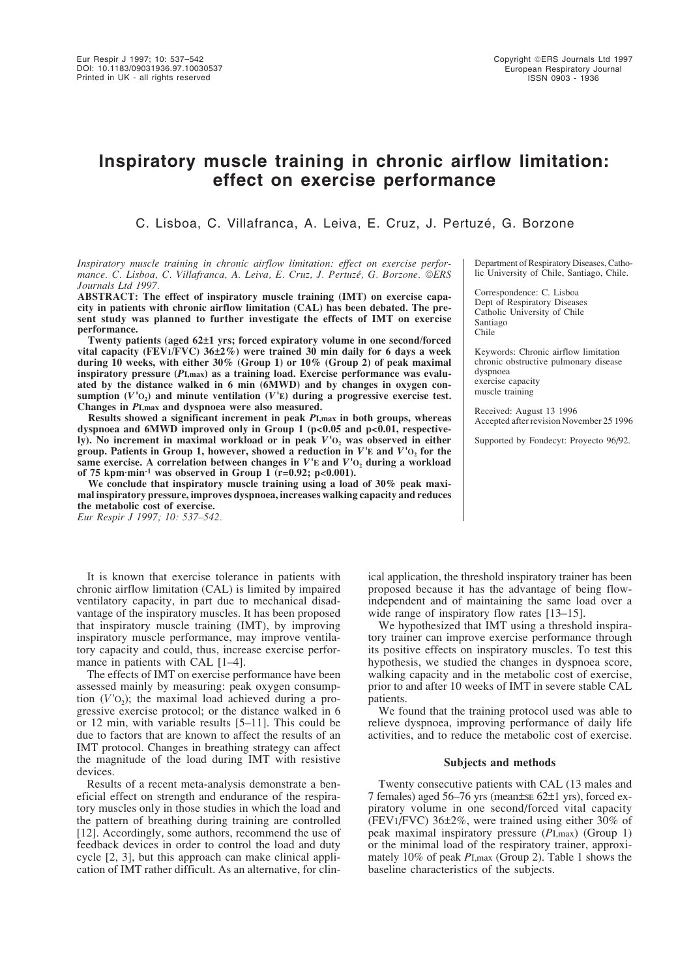# **Inspiratory muscle training in chronic airflow limitation: effect on exercise performance**

C. Lisboa, C. Villafranca, A. Leiva, E. Cruz, J. Pertuzé, G. Borzone

*Inspiratory muscle training in chronic airflow limitation: effect on exercise performance. C. Lisboa, C. Villafranca, A. Leiva, E. Cruz, J. Pertuzé, G. Borzone. ERS Journals Ltd 1997.*

**ABSTRACT: The effect of inspiratory muscle training (IMT) on exercise capacity in patients with chronic airflow limitation (CAL) has been debated. The present study was planned to further investigate the effects of IMT on exercise performance.**

**Twenty patients (aged 62±1 yrs; forced expiratory volume in one second/forced vital capacity (FEV1/FVC) 36±2%) were trained 30 min daily for 6 days a week during 10 weeks, with either 30% (Group 1) or 10% (Group 2) of peak maximal inspiratory pressure (***P***I,max) as a training load. Exercise performance was evaluated by the distance walked in 6 min (6MWD) and by changes in oxygen con**sumption  $(V<sup>t</sup>O<sub>2</sub>)$  and minute ventilation  $(V<sup>t</sup>E)$  during a progressive exercise test. **Changes in** *P***I,max and dyspnoea were also measured.**

**Results showed a significant increment in peak** *P***I,max in both groups, whereas dyspnoea and 6MWD improved only in Group 1 (p<0.05 and p<0.01, respectively). No increment in maximal workload or in peak** *V***'O2 was observed in either group. Patients in Group 1, however, showed a reduction in** *V***'E and** *V***'O2 for the** same exercise. A correlation between changes in  $V'E$  and  $V'O<sub>2</sub>$  during a workload of 75 kpm·min<sup>-1</sup> was observed in Group 1  $\check{p}$  (r=0.92; p<0.001).

**We conclude that inspiratory muscle training using a load of 30% peak maximal inspiratory pressure, improves dyspnoea, increases walking capacity and reduces the metabolic cost of exercise.**

*Eur Respir J 1997; 10: 537–542.*

It is known that exercise tolerance in patients with chronic airflow limitation (CAL) is limited by impaired ventilatory capacity, in part due to mechanical disadvantage of the inspiratory muscles. It has been proposed that inspiratory muscle training (IMT), by improving inspiratory muscle performance, may improve ventilatory capacity and could, thus, increase exercise performance in patients with CAL [1–4].

The effects of IMT on exercise performance have been assessed mainly by measuring: peak oxygen consumption  $(V'O_2)$ ; the maximal load achieved during a progressive exercise protocol; or the distance walked in 6 or 12 min, with variable results [5–11]. This could be due to factors that are known to affect the results of an IMT protocol. Changes in breathing strategy can affect the magnitude of the load during IMT with resistive devices.

Results of a recent meta-analysis demonstrate a beneficial effect on strength and endurance of the respiratory muscles only in those studies in which the load and the pattern of breathing during training are controlled [12]. Accordingly, some authors, recommend the use of feedback devices in order to control the load and duty cycle [2, 3], but this approach can make clinical application of IMT rather difficult. As an alternative, for clinDepartment of Respiratory Diseases, Catholic University of Chile, Santiago, Chile.

Correspondence: C. Lisboa Dept of Respiratory Diseases Catholic University of Chile Santiago Chile

Keywords: Chronic airflow limitation chronic obstructive pulmonary disease dyspnoea exercise capacity muscle training

Received: August 13 1996 Accepted after revision November 25 1996

Supported by Fondecyt: Proyecto 96/92.

ical application, the threshold inspiratory trainer has been proposed because it has the advantage of being flowindependent and of maintaining the same load over a wide range of inspiratory flow rates [13–15].

We hypothesized that IMT using a threshold inspiratory trainer can improve exercise performance through its positive effects on inspiratory muscles. To test this hypothesis, we studied the changes in dyspnoea score, walking capacity and in the metabolic cost of exercise, prior to and after 10 weeks of IMT in severe stable CAL patients.

We found that the training protocol used was able to relieve dyspnoea, improving performance of daily life activities, and to reduce the metabolic cost of exercise.

# **Subjects and methods**

Twenty consecutive patients with CAL (13 males and 7 females) aged 56–76 yrs (mean±SE 62±1 yrs), forced expiratory volume in one second/forced vital capacity (FEV1/FVC) 36±2%, were trained using either 30% of peak maximal inspiratory pressure (*P*I,max) (Group 1) or the minimal load of the respiratory trainer, approximately 10% of peak *P*I,max (Group 2). Table 1 shows the baseline characteristics of the subjects.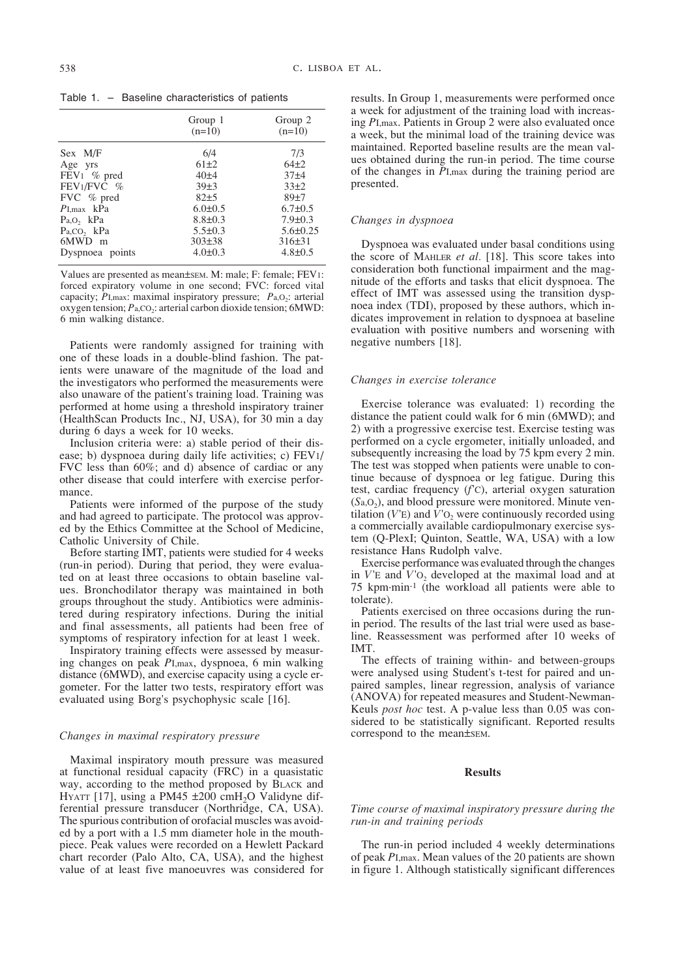Table 1. – Baseline characteristics of patients

|                         | Group 1<br>$(n=10)$ | Group 2<br>$(n=10)$ |
|-------------------------|---------------------|---------------------|
| Sex M/F                 | 6/4                 | 7/3                 |
| Age yrs                 | $61\pm2$            | $64+2$              |
| FEV <sub>1</sub> % pred | 40±4                | $37 + 4$            |
| $FEV1/FVC$ %            | 39±3                | $33+2$              |
| FVC % pred              | 82±5                | 89±7                |
| $P_{\text{I,max}}$ kPa  | $6.0 \pm 0.5$       | $6.7 \pm 0.5$       |
| Pa, O, kPa              | $8.8 \pm 0.3$       | $7.9 \pm 0.3$       |
| $Pa, CO$ , $kPa$        | $5.5 \pm 0.3$       | $5.6\pm0.25$        |
| 6MWD m                  | $303\pm38$          | $316\pm31$          |
| Dyspnoea points         | $4.0 \pm 0.3$       | $4.8 \pm 0.5$       |

Values are presented as mean±SEM. M: male; F: female; FEV1: forced expiratory volume in one second; FVC: forced vital capacity;  $\overline{P}_{I,\text{max}}$ : maximal inspiratory pressure;  $P_{a,O_2}$ : arterial oxygen tension;  $P_{a,CO_2}$ : arterial carbon dioxide tension; 6MWD: 6 min walking distance.

Patients were randomly assigned for training with one of these loads in a double-blind fashion. The patients were unaware of the magnitude of the load and the investigators who performed the measurements were also unaware of the patient's training load. Training was performed at home using a threshold inspiratory trainer (HealthScan Products Inc., NJ, USA), for 30 min a day during 6 days a week for 10 weeks.

Inclusion criteria were: a) stable period of their disease; b) dyspnoea during daily life activities; c) FEV1/ FVC less than 60%; and d) absence of cardiac or any other disease that could interfere with exercise performance.

Patients were informed of the purpose of the study and had agreed to participate. The protocol was approved by the Ethics Committee at the School of Medicine, Catholic University of Chile.

Before starting IMT, patients were studied for 4 weeks (run-in period). During that period, they were evaluated on at least three occasions to obtain baseline values. Bronchodilator therapy was maintained in both groups throughout the study. Antibiotics were administered during respiratory infections. During the initial and final assessments, all patients had been free of symptoms of respiratory infection for at least 1 week.

Inspiratory training effects were assessed by measuring changes on peak *P*I,max, dyspnoea, 6 min walking distance (6MWD), and exercise capacity using a cycle ergometer. For the latter two tests, respiratory effort was evaluated using Borg's psychophysic scale [16].

### *Changes in maximal respiratory pressure*

Maximal inspiratory mouth pressure was measured at functional residual capacity (FRC) in a quasistatic way, according to the method proposed by BLACK and HYATT [17], using a PM45  $\pm 200$  cmH<sub>2</sub>O Validyne differential pressure transducer (Northridge, CA, USA). The spurious contribution of orofacial muscles was avoided by a port with a 1.5 mm diameter hole in the mouthpiece. Peak values were recorded on a Hewlett Packard chart recorder (Palo Alto, CA, USA), and the highest value of at least five manoeuvres was considered for results. In Group 1, measurements were performed once a week for adjustment of the training load with increasing *P*I,max. Patients in Group 2 were also evaluated once a week, but the minimal load of the training device was maintained. Reported baseline results are the mean values obtained during the run-in period. The time course of the changes in *P*I,max during the training period are presented.

## *Changes in dyspnoea*

Dyspnoea was evaluated under basal conditions using the score of MAHLER *et al.* [18]. This score takes into consideration both functional impairment and the magnitude of the efforts and tasks that elicit dyspnoea. The effect of IMT was assessed using the transition dyspnoea index (TDI), proposed by these authors, which indicates improvement in relation to dyspnoea at baseline evaluation with positive numbers and worsening with negative numbers [18].

#### *Changes in exercise tolerance*

Exercise tolerance was evaluated: 1) recording the distance the patient could walk for 6 min (6MWD); and 2) with a progressive exercise test. Exercise testing was performed on a cycle ergometer, initially unloaded, and subsequently increasing the load by 75 kpm every 2 min. The test was stopped when patients were unable to continue because of dyspnoea or leg fatigue. During this test, cardiac frequency (*f*'C), arterial oxygen saturation  $(Sa, O<sub>2</sub>)$ , and blood pressure were monitored. Minute ventilation  $(V'E)$  and  $V'O<sub>2</sub>$  were continuously recorded using a commercially available cardiopulmonary exercise system (Q-PlexI; Quinton, Seattle, WA, USA) with a low resistance Hans Rudolph valve.

Exercise performance was evaluated through the changes in  $V'$ E and  $V'$ <sup>O</sup><sub>2</sub> developed at the maximal load and at 75 kpm·min-1 (the workload all patients were able to tolerate).

Patients exercised on three occasions during the runin period. The results of the last trial were used as baseline. Reassessment was performed after 10 weeks of IMT.

The effects of training within- and between-groups were analysed using Student's t-test for paired and unpaired samples, linear regression, analysis of variance (ANOVA) for repeated measures and Student-Newman-Keuls *post hoc* test. A p-value less than 0.05 was considered to be statistically significant. Reported results correspond to the mean±SEM.

## **Results**

# *Time course of maximal inspiratory pressure during the run-in and training periods*

The run-in period included 4 weekly determinations of peak *P*I,max. Mean values of the 20 patients are shown in figure 1. Although statistically significant differences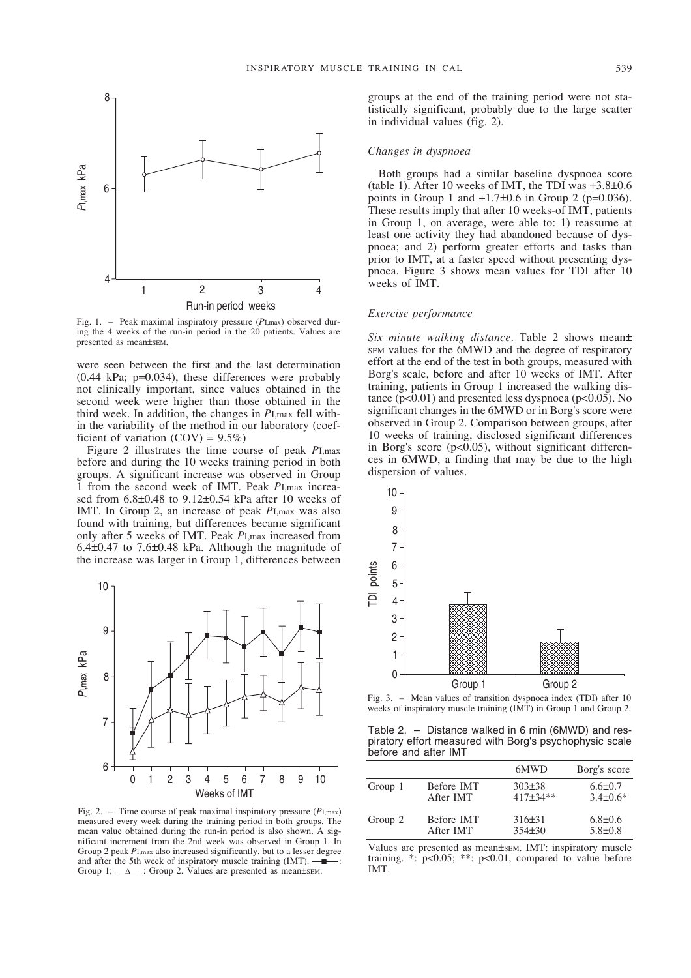

Fig. 1. – Peak maximal inspiratory pressure (*P*I,max) observed during the 4 weeks of the run-in period in the 20 patients. Values are presented as mean±SEM.

were seen between the first and the last determination (0.44 kPa; p=0.034), these differences were probably not clinically important, since values obtained in the second week were higher than those obtained in the third week. In addition, the changes in *P*I,max fell within the variability of the method in our laboratory (coefficient of variation  $(COV) = 9.5\%)$ 

Figure 2 illustrates the time course of peak *P*I,max before and during the 10 weeks training period in both groups. A significant increase was observed in Group 1 from the second week of IMT. Peak *P*I,max increased from 6.8±0.48 to 9.12±0.54 kPa after 10 weeks of IMT. In Group 2, an increase of peak *P*I,max was also found with training, but differences became significant only after 5 weeks of IMT. Peak *P*I,max increased from 6.4±0.47 to 7.6±0.48 kPa. Although the magnitude of the increase was larger in Group 1, differences between



Fig. 2. – Time course of peak maximal inspiratory pressure (*P*I,max) measured every week during the training period in both groups. The mean value obtained during the run-in period is also shown. A significant increment from the 2nd week was observed in Group 1. In Group 2 peak *P*I,max also increased significantly, but to a lesser degree and after the 5th week of inspiratory muscle training  $(IMT)$ .  $\blacksquare$ Group 1;  $\rightarrow \rightarrow$  : Group 2. Values are presented as mean±sem.

groups at the end of the training period were not statistically significant, probably due to the large scatter in individual values (fig. 2).

#### *Changes in dyspnoea*

Both groups had a similar baseline dyspnoea score (table 1). After 10 weeks of IMT, the TDI was  $+3.8\pm0.6$ points in Group 1 and  $+1.7\pm0.6$  in Group 2 (p=0.036). These results imply that after 10 weeks-of IMT, patients in Group 1, on average, were able to: 1) reassume at least one activity they had abandoned because of dyspnoea; and 2) perform greater efforts and tasks than prior to IMT, at a faster speed without presenting dyspnoea. Figure 3 shows mean values for TDI after 10 weeks of IMT.

## *Exercise performance*

*Six minute walking distance*. Table 2 shows mean± SEM values for the 6MWD and the degree of respiratory effort at the end of the test in both groups, measured with Borg's scale, before and after 10 weeks of IMT. After training, patients in Group 1 increased the walking distance  $(p<0.01)$  and presented less dyspnoea  $(p<0.05)$ . No significant changes in the 6MWD or in Borg's score were observed in Group 2. Comparison between groups, after 10 weeks of training, disclosed significant differences in Borg's score ( $p<0.05$ ), without significant differences in 6MWD, a finding that may be due to the high dispersion of values.



Fig. 3. – Mean values of transition dyspnoea index (TDI) after 10 weeks of inspiratory muscle training (IMT) in Group 1 and Group 2.

Table 2. – Distance walked in 6 min (6MWD) and respiratory effort measured with Borg's psychophysic scale before and after IMT

|         |                  | 6MWD       | Borg's score   |
|---------|------------------|------------|----------------|
| Group 1 | Before IMT       | $303\pm38$ | $6.6 \pm 0.7$  |
|         | After <b>IMT</b> | 417±34**   | $3.4 \pm 0.6*$ |
| Group 2 | Before IMT       | 316±31     | $6.8 \pm 0.6$  |
|         | After IMT        | $354\pm30$ | $5.8 \pm 0.8$  |

Values are presented as mean±SEM. IMT: inspiratory muscle training.  $\cdot$ :  $p<0.05$ ;  $\cdot\cdot$ :  $p<0.01$ , compared to value before IMT.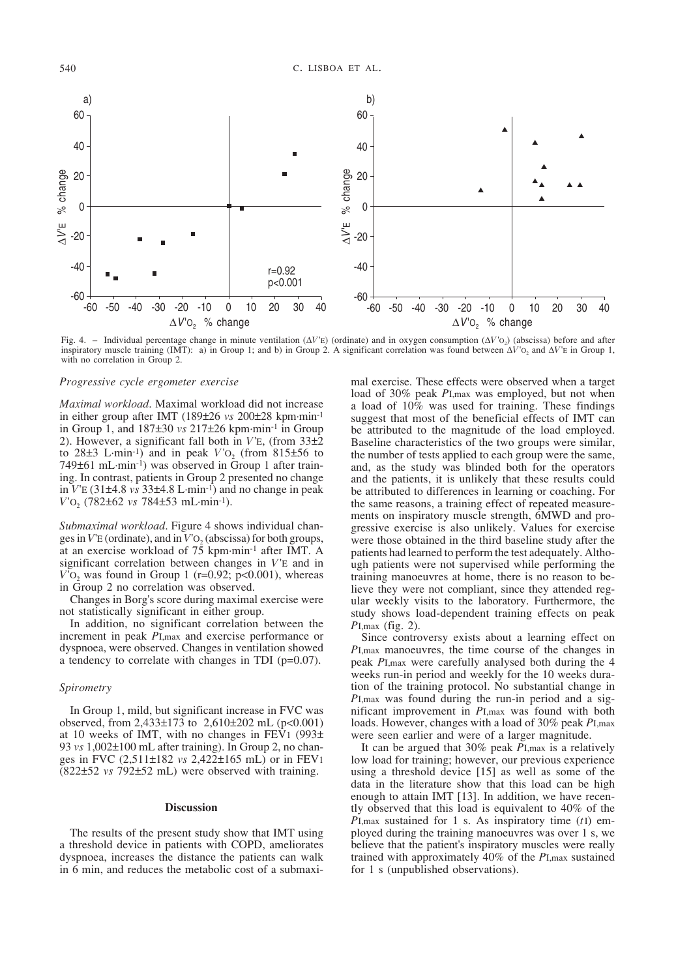

Fig. 4. – Individual percentage change in minute ventilation (∆*V*'E) (ordinate) and in oxygen consumption (∆*V*'O2) (abscissa) before and after inspiratory muscle training (IMT): a) in Group 1; and b) in Group 2. A significant correlation was found between ∆*V*'O2 and ∆*V*'E in Group 1, with no correlation in Group 2.

#### *Progressive cycle ergometer exercise*

*Maximal workload*. Maximal workload did not increase in either group after IMT (189±26 *vs* 200±28 kpm·min-1 in Group 1, and 187±30 *vs* 217±26 kpm·min-1 in Group 2). However, a significant fall both in *V*'E, (from 33±2 to  $28\pm3$  L·min<sup>-1</sup>) and in peak  $V'$ O<sub>2</sub> (from  $815\pm56$  to 749±61 mL·min-1) was observed in Group 1 after training. In contrast, patients in Group 2 presented no change in *V*'E (31±4.8 *vs* 33±4.8 L·min-1) and no change in peak *V*'O2 (782±62 *vs* 784±53 mL·min-1).

*Submaximal workload*. Figure 4 shows individual changes in *V*<sup>'</sup>E (ordinate), and in *V*<sup>'</sup>O<sub>2</sub> (abscissa) for both groups, at an exercise workload of 75 kpm·min-1 after IMT. A significant correlation between changes in *V*'E and in  $V'O<sub>2</sub>$  was found in Group 1 (r=0.92; p<0.001), whereas in Group 2 no correlation was observed.

Changes in Borg's score during maximal exercise were not statistically significant in either group.

In addition, no significant correlation between the increment in peak *P*I,max and exercise performance or dyspnoea, were observed. Changes in ventilation showed a tendency to correlate with changes in TDI (p=0.07).

# *Spirometry*

In Group 1, mild, but significant increase in FVC was observed, from 2,433 $\pm$ 173 to 2,610 $\pm$ 202 mL (p<0.001) at 10 weeks of IMT, with no changes in FEV<sub>1</sub> (993 $\pm$ ) 93 *vs* 1,002±100 mL after training). In Group 2, no changes in FVC (2,511±182 *vs* 2,422±165 mL) or in FEV1 (822±52 *vs* 792±52 mL) were observed with training.

## **Discussion**

The results of the present study show that IMT using a threshold device in patients with COPD, ameliorates dyspnoea, increases the distance the patients can walk in 6 min, and reduces the metabolic cost of a submaximal exercise. These effects were observed when a target load of 30% peak *P*I,max was employed, but not when a load of 10% was used for training. These findings suggest that most of the beneficial effects of IMT can be attributed to the magnitude of the load employed. Baseline characteristics of the two groups were similar, the number of tests applied to each group were the same, and, as the study was blinded both for the operators and the patients, it is unlikely that these results could be attributed to differences in learning or coaching. For the same reasons, a training effect of repeated measurements on inspiratory muscle strength, 6MWD and progressive exercise is also unlikely. Values for exercise were those obtained in the third baseline study after the patients had learned to perform the test adequately. Although patients were not supervised while performing the training manoeuvres at home, there is no reason to believe they were not compliant, since they attended regular weekly visits to the laboratory. Furthermore, the study shows load-dependent training effects on peak *PI.max* (fig. 2).

Since controversy exists about a learning effect on *P*I,max manoeuvres, the time course of the changes in peak *P*I,max were carefully analysed both during the 4 weeks run-in period and weekly for the 10 weeks duration of the training protocol. No substantial change in *P*I,max was found during the run-in period and a significant improvement in *P*I,max was found with both loads. However, changes with a load of 30% peak *P*I,max were seen earlier and were of a larger magnitude.

It can be argued that 30% peak *P*I,max is a relatively low load for training; however, our previous experience using a threshold device [15] as well as some of the data in the literature show that this load can be high enough to attain IMT [13]. In addition, we have recently observed that this load is equivalent to 40% of the *P*I,max sustained for 1 s. As inspiratory time (*t*I) employed during the training manoeuvres was over 1 s, we believe that the patient's inspiratory muscles were really trained with approximately 40% of the *P*I,max sustained for 1 s (unpublished observations).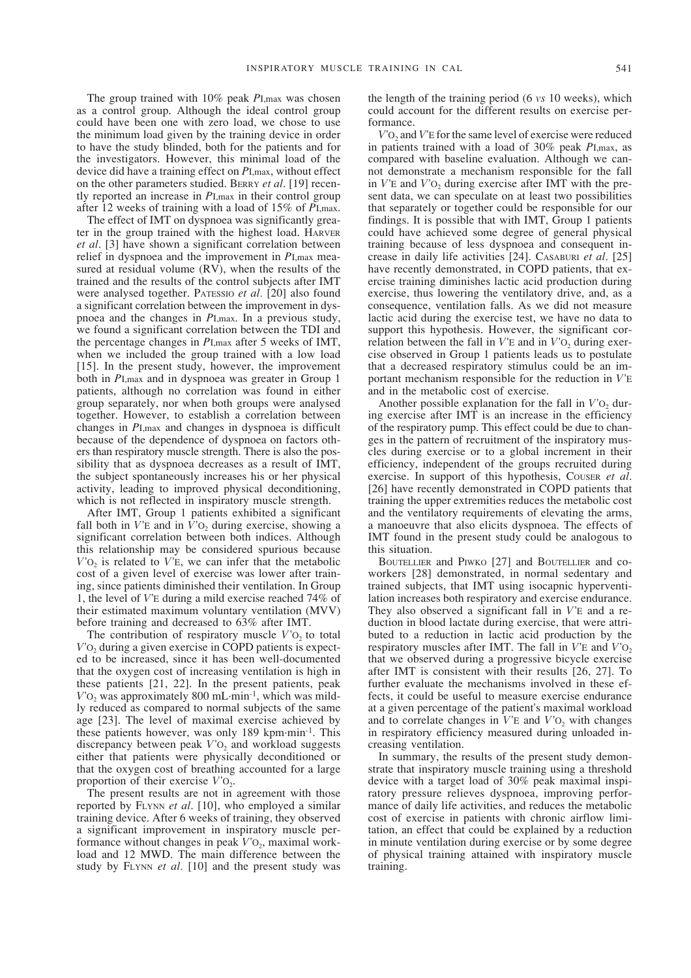The group trained with 10% peak *P*I,max was chosen as a control group. Although the ideal control group could have been one with zero load, we chose to use the minimum load given by the training device in order to have the study blinded, both for the patients and for the investigators. However, this minimal load of the device did have a training effect on *P*I,max, without effect on the other parameters studied. BERRY *et al*. [19] recently reported an increase in *P*I,max in their control group after 12 weeks of training with a load of 15% of *P*I,max.

The effect of IMT on dyspnoea was significantly greater in the group trained with the highest load. HARVER *et al*. [3] have shown a significant correlation between relief in dyspnoea and the improvement in *P*I,max measured at residual volume (RV), when the results of the trained and the results of the control subjects after IMT were analysed together. PATESSIO *et al.* [20] also found a significant correlation between the improvement in dyspnoea and the changes in *P*I,max. In a previous study, we found a significant correlation between the TDI and the percentage changes in *P*I,max after 5 weeks of IMT, when we included the group trained with a low load [15]. In the present study, however, the improvement both in *P*I,max and in dyspnoea was greater in Group 1 patients, although no correlation was found in either group separately, nor when both groups were analysed together. However, to establish a correlation between changes in *P*I,max and changes in dyspnoea is difficult because of the dependence of dyspnoea on factors others than respiratory muscle strength. There is also the possibility that as dyspnoea decreases as a result of IMT, the subject spontaneously increases his or her physical activity, leading to improved physical deconditioning, which is not reflected in inspiratory muscle strength.

After IMT, Group 1 patients exhibited a significant fall both in  $V'$ E and in  $\tilde{V}'$ <sup>O</sup>, during exercise, showing a significant correlation between both indices. Although this relationship may be considered spurious because  $V'O<sub>2</sub>$  is related to  $V'E$ , we can infer that the metabolic cost of a given level of exercise was lower after training, since patients diminished their ventilation. In Group 1, the level of *V*'E during a mild exercise reached 74% of their estimated maximum voluntary ventilation (MVV) before training and decreased to 63% after IMT.

The contribution of respiratory muscle  $V'O<sub>2</sub>$  to total *V*<sup>'</sup>O<sub>2</sub> during a given exercise in COPD patients is expected to be increased, since it has been well-documented that the oxygen cost of increasing ventilation is high in these patients [21, 22]. In the present patients, peak  $V$ <sup>'</sup>O<sub>2</sub> was approximately 800 mL·min<sup>-1</sup>, which was mildly reduced as compared to normal subjects of the same age [23]. The level of maximal exercise achieved by these patients however, was only 189 kpm·min-1. This discrepancy between peak  $V$ <sup>'</sup>O<sub>2</sub> and workload suggests either that patients were physically deconditioned or that the oxygen cost of breathing accounted for a large proportion of their exercise  $V'O<sub>2</sub>$ .

The present results are not in agreement with those reported by FLYNN *et al*. [10], who employed a similar training device. After 6 weeks of training, they observed a significant improvement in inspiratory muscle performance without changes in peak  $V'O<sub>2</sub>$ , maximal workload and 12 MWD. The main difference between the study by FLYNN *et al.* [10] and the present study was the length of the training period (6 *vs* 10 weeks), which could account for the different results on exercise performance.

*V*<sup>'</sup>O<sub>2</sub> and *V*<sup>'</sup>E for the same level of exercise were reduced in patients trained with a load of 30% peak *P*I,max, as compared with baseline evaluation. Although we cannot demonstrate a mechanism responsible for the fall in  $V'$ E and  $V'$ O<sub>2</sub> during exercise after IMT with the present data, we can speculate on at least two possibilities that separately or together could be responsible for our findings. It is possible that with IMT, Group 1 patients could have achieved some degree of general physical training because of less dyspnoea and consequent increase in daily life activities [24]. CASABURI *et al*. [25] have recently demonstrated, in COPD patients, that exercise training diminishes lactic acid production during exercise, thus lowering the ventilatory drive, and, as a consequence, ventilation falls. As we did not measure lactic acid during the exercise test, we have no data to support this hypothesis. However, the significant correlation between the fall in  $V'$ E and in  $V'$ <sub>O<sub>2</sub></sub> during exercise observed in Group 1 patients leads us to postulate that a decreased respiratory stimulus could be an important mechanism responsible for the reduction in *V*'E and in the metabolic cost of exercise.

Another possible explanation for the fall in  $V'O<sub>2</sub>$  during exercise after IMT is an increase in the efficiency of the respiratory pump. This effect could be due to changes in the pattern of recruitment of the inspiratory muscles during exercise or to a global increment in their efficiency, independent of the groups recruited during exercise. In support of this hypothesis, COUSER *et al*. [26] have recently demonstrated in COPD patients that training the upper extremities reduces the metabolic cost and the ventilatory requirements of elevating the arms, a manoeuvre that also elicits dyspnoea. The effects of IMT found in the present study could be analogous to this situation.

BOUTELLIER and PIWKO [27] and BOUTELLIER and coworkers [28] demonstrated, in normal sedentary and trained subjects, that IMT using isocapnic hyperventilation increases both respiratory and exercise endurance. They also observed a significant fall in *V*'E and a reduction in blood lactate during exercise, that were attributed to a reduction in lactic acid production by the respiratory muscles after IMT. The fall in *V*<sup>'</sup>E and *V*<sup>'</sup>O<sub>2</sub> that we observed during a progressive bicycle exercise after IMT is consistent with their results [26, 27]. To further evaluate the mechanisms involved in these effects, it could be useful to measure exercise endurance at a given percentage of the patient's maximal workload and to correlate changes in  $V$ <sup>E</sup> and  $V$ <sup>O</sup><sub>2</sub> with changes in respiratory efficiency measured during unloaded increasing ventilation.

In summary, the results of the present study demonstrate that inspiratory muscle training using a threshold device with a target load of 30% peak maximal inspiratory pressure relieves dyspnoea, improving performance of daily life activities, and reduces the metabolic cost of exercise in patients with chronic airflow limitation, an effect that could be explained by a reduction in minute ventilation during exercise or by some degree of physical training attained with inspiratory muscle training.